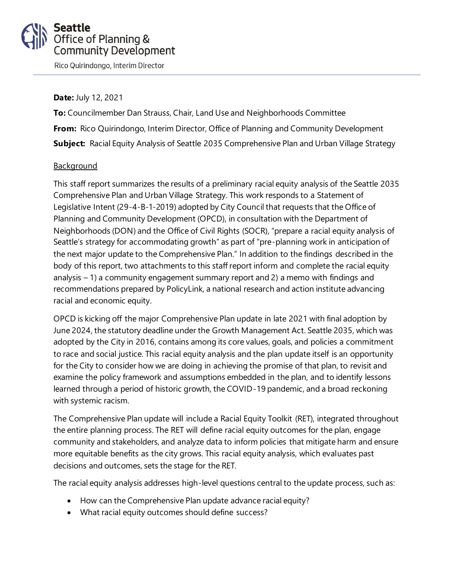# **Seattle** Office of Planning & **Community Development**

Rico Quirindongo, Interim Director

#### **Date:** July 12, 2021

**To:** Councilmember Dan Strauss, Chair, Land Use and Neighborhoods Committee **From:** Rico Quirindongo, Interim Director, Office of Planning and Community Development **Subject:** Racial Equity Analysis of Seattle 2035 Comprehensive Plan and Urban Village Strategy

#### **Background**

This staff report summarizes the results of a preliminary racial equity analysis of the Seattle 2035 Comprehensive Plan and Urban Village Strategy. This work responds to a Statement of Legislative Intent (29-4-B-1-2019) adopted by City Council that requests that the Office of Planning and Community Development (OPCD), in consultation with the Department of Neighborhoods (DON) and the Office of Civil Rights (SOCR), "prepare a racial equity analysis of Seattle's strategy for accommodating growth" as part of "pre-planning work in anticipation of the next major update to the Comprehensive Plan." In addition to the findings described in the body of this report, two attachments to this staff report inform and complete the racial equity analysis – 1) a community engagement summary report and 2) a memo with findings and recommendations prepared by PolicyLink, a national research and action institute advancing racial and economic equity.

OPCD is kicking off the major Comprehensive Plan update in late 2021 with final adoption by June 2024, the statutory deadline under the Growth Management Act. Seattle 2035, which was adopted by the City in 2016, contains among its core values, goals, and policies a commitment to race and social justice. This racial equity analysis and the plan update itself is an opportunity for the City to consider how we are doing in achieving the promise of that plan, to revisit and examine the policy framework and assumptions embedded in the plan, and to identify lessons learned through a period of historic growth, the COVID-19 pandemic, and a broad reckoning with systemic racism.

The Comprehensive Plan update will include a Racial Equity Toolkit (RET), integrated throughout the entire planning process. The RET will define racial equity outcomes for the plan, engage community and stakeholders, and analyze data to inform policies that mitigate harm and ensure more equitable benefits as the city grows. This racial equity analysis, which evaluates past decisions and outcomes, sets the stage for the RET.

The racial equity analysis addresses high-level questions central to the update process, such as:

- How can the Comprehensive Plan update advance racial equity?
- What racial equity outcomes should define success?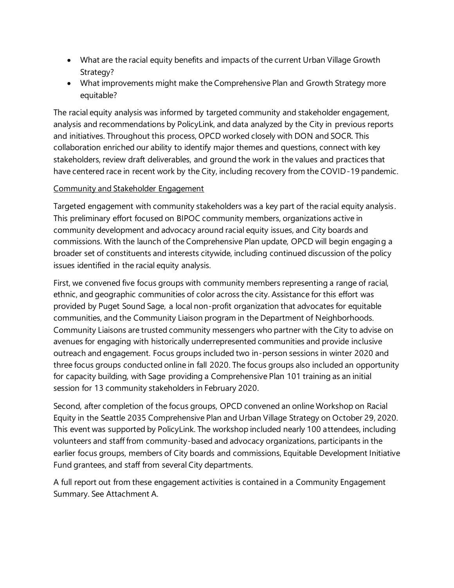- What are the racial equity benefits and impacts of the current Urban Village Growth Strategy?
- What improvements might make the Comprehensive Plan and Growth Strategy more equitable?

The racial equity analysis was informed by targeted community and stakeholder engagement, analysis and recommendations by PolicyLink, and data analyzed by the City in previous reports and initiatives. Throughout this process, OPCD worked closely with DON and SOCR. This collaboration enriched our ability to identify major themes and questions, connect with key stakeholders, review draft deliverables, and ground the work in the values and practices that have centered race in recent work by the City, including recovery from the COVID-19 pandemic.

#### Community and Stakeholder Engagement

Targeted engagement with community stakeholders was a key part of the racial equity analysis. This preliminary effort focused on BIPOC community members, organizations active in community development and advocacy around racial equity issues, and City boards and commissions. With the launch of the Comprehensive Plan update, OPCD will begin engaging a broader set of constituents and interests citywide, including continued discussion of the policy issues identified in the racial equity analysis.

First, we convened five focus groups with community members representing a range of racial, ethnic, and geographic communities of color across the city. Assistance for this effort was provided by Puget Sound Sage, a local non-profit organization that advocates for equitable communities, and the Community Liaison program in the Department of Neighborhoods. Community Liaisons are trusted community messengers who partner with the City to advise on avenues for engaging with historically underrepresented communities and provide inclusive outreach and engagement. Focus groups included two in-person sessions in winter 2020 and three focus groups conducted online in fall 2020. The focus groups also included an opportunity for capacity building, with Sage providing a Comprehensive Plan 101 training as an initial session for 13 community stakeholders in February 2020.

Second, after completion of the focus groups, OPCD convened an online Workshop on Racial Equity in the Seattle 2035 Comprehensive Plan and Urban Village Strategy on October 29, 2020. This event was supported by PolicyLink. The workshop included nearly 100 attendees, including volunteers and staff from community-based and advocacy organizations, participants in the earlier focus groups, members of City boards and commissions, Equitable Development Initiative Fund grantees, and staff from several City departments.

A full report out from these engagement activities is contained in a Community Engagement Summary. See Attachment A.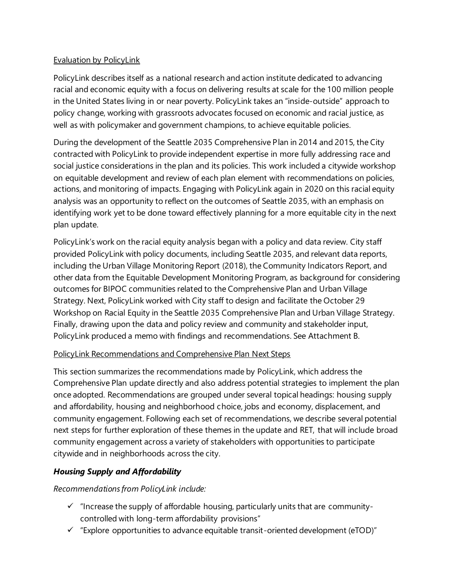### Evaluation by PolicyLink

PolicyLink describes itself as a national research and action institute dedicated to advancing racial and economic equity with a focus on delivering results at scale for the 100 million people in the United States living in or near poverty. PolicyLink takes an "inside-outside" approach to policy change, working with grassroots advocates focused on economic and racial justice, as well as with policymaker and government champions, to achieve equitable policies.

During the development of the Seattle 2035 Comprehensive Plan in 2014 and 2015, the City contracted with PolicyLink to provide independent expertise in more fully addressing race and social justice considerations in the plan and its policies. This work included a citywide workshop on equitable development and review of each plan element with recommendations on policies, actions, and monitoring of impacts. Engaging with PolicyLink again in 2020 on this racial equity analysis was an opportunity to reflect on the outcomes of Seattle 2035, with an emphasis on identifying work yet to be done toward effectively planning for a more equitable city in the next plan update.

PolicyLink's work on the racial equity analysis began with a policy and data review. City staff provided PolicyLink with policy documents, including Seattle 2035, and relevant data reports, including the Urban Village Monitoring Report (2018), the Community Indicators Report, and other data from the Equitable Development Monitoring Program, as background for considering outcomes for BIPOC communities related to the Comprehensive Plan and Urban Village Strategy. Next, PolicyLink worked with City staff to design and facilitate the October 29 Workshop on Racial Equity in the Seattle 2035 Comprehensive Plan and Urban Village Strategy. Finally, drawing upon the data and policy review and community and stakeholder input, PolicyLink produced a memo with findings and recommendations. See Attachment B.

#### PolicyLink Recommendations and Comprehensive Plan Next Steps

This section summarizes the recommendations made by PolicyLink, which address the Comprehensive Plan update directly and also address potential strategies to implement the plan once adopted. Recommendations are grouped under several topical headings: housing supply and affordability, housing and neighborhood choice, jobs and economy, displacement, and community engagement. Following each set of recommendations, we describe several potential next steps for further exploration of these themes in the update and RET, that will include broad community engagement across a variety of stakeholders with opportunities to participate citywide and in neighborhoods across the city.

### *Housing Supply and Affordability*

*Recommendations from PolicyLink include:*

- $\checkmark$  "Increase the supply of affordable housing, particularly units that are communitycontrolled with long-term affordability provisions"
- $\checkmark$  "Explore opportunities to advance equitable transit-oriented development (eTOD)"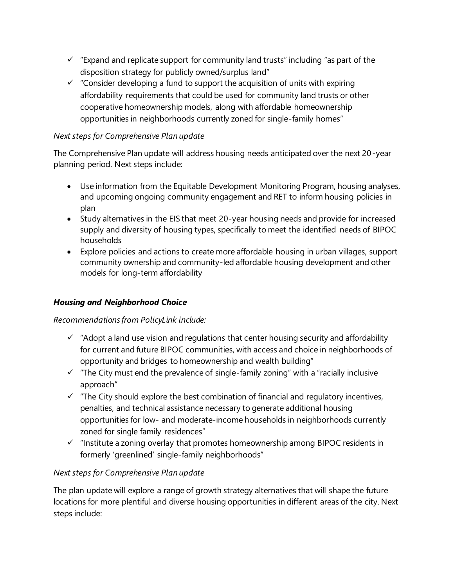- $\checkmark$  "Expand and replicate support for community land trusts" including "as part of the disposition strategy for publicly owned/surplus land"
- $\checkmark$  "Consider developing a fund to support the acquisition of units with expiring affordability requirements that could be used for community land trusts or other cooperative homeownership models, along with affordable homeownership opportunities in neighborhoods currently zoned for single-family homes"

### *Next steps for Comprehensive Plan update*

The Comprehensive Plan update will address housing needs anticipated over the next 20-year planning period. Next steps include:

- Use information from the Equitable Development Monitoring Program, housing analyses, and upcoming ongoing community engagement and RET to inform housing policies in plan
- Study alternatives in the EIS that meet 20-year housing needs and provide for increased supply and diversity of housing types, specifically to meet the identified needs of BIPOC households
- Explore policies and actions to create more affordable housing in urban villages, support community ownership and community-led affordable housing development and other models for long-term affordability

### *Housing and Neighborhood Choice*

#### *Recommendations from PolicyLink include:*

- $\checkmark$  "Adopt a land use vision and regulations that center housing security and affordability for current and future BIPOC communities, with access and choice in neighborhoods of opportunity and bridges to homeownership and wealth building"
- ✓ "The City must end the prevalence of single-family zoning" with a "racially inclusive approach"
- $\checkmark$  "The City should explore the best combination of financial and regulatory incentives, penalties, and technical assistance necessary to generate additional housing opportunities for low- and moderate-income households in neighborhoods currently zoned for single family residences"
- $\checkmark$  "Institute a zoning overlay that promotes homeownership among BIPOC residents in formerly 'greenlined' single-family neighborhoods"

#### *Next steps for Comprehensive Plan update*

The plan update will explore a range of growth strategy alternatives that will shape the future locations for more plentiful and diverse housing opportunities in different areas of the city. Next steps include: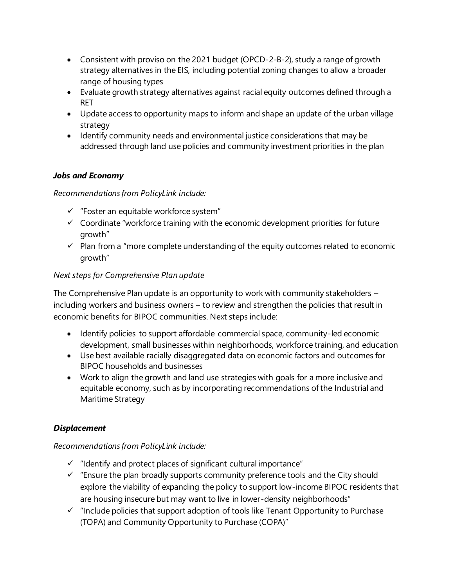- Consistent with proviso on the 2021 budget (OPCD-2-B-2), study a range of growth strategy alternatives in the EIS, including potential zoning changes to allow a broader range of housing types
- Evaluate growth strategy alternatives against racial equity outcomes defined through a RET
- Update access to opportunity maps to inform and shape an update of the urban village strategy
- Identify community needs and environmental justice considerations that may be addressed through land use policies and community investment priorities in the plan

# *Jobs and Economy*

*Recommendations from PolicyLink include:*

- ✓ "Foster an equitable workforce system"
- $\checkmark$  Coordinate "workforce training with the economic development priorities for future growth"
- $\checkmark$  Plan from a "more complete understanding of the equity outcomes related to economic growth"

### *Next steps for Comprehensive Plan update*

The Comprehensive Plan update is an opportunity to work with community stakeholders – including workers and business owners – to review and strengthen the policies that result in economic benefits for BIPOC communities. Next steps include:

- Identify policies to support affordable commercial space, community-led economic development, small businesses within neighborhoods, workforce training, and education
- Use best available racially disaggregated data on economic factors and outcomes for BIPOC households and businesses
- Work to align the growth and land use strategies with goals for a more inclusive and equitable economy, such as by incorporating recommendations of the Industrial and Maritime Strategy

### *Displacement*

### *Recommendations from PolicyLink include:*

- $\checkmark$  "Identify and protect places of significant cultural importance"
- $\checkmark$  "Ensure the plan broadly supports community preference tools and the City should explore the viability of expanding the policy to support low-income BIPOC residents that are housing insecure but may want to live in lower-density neighborhoods"
- $\checkmark$  "Include policies that support adoption of tools like Tenant Opportunity to Purchase (TOPA) and Community Opportunity to Purchase (COPA)"